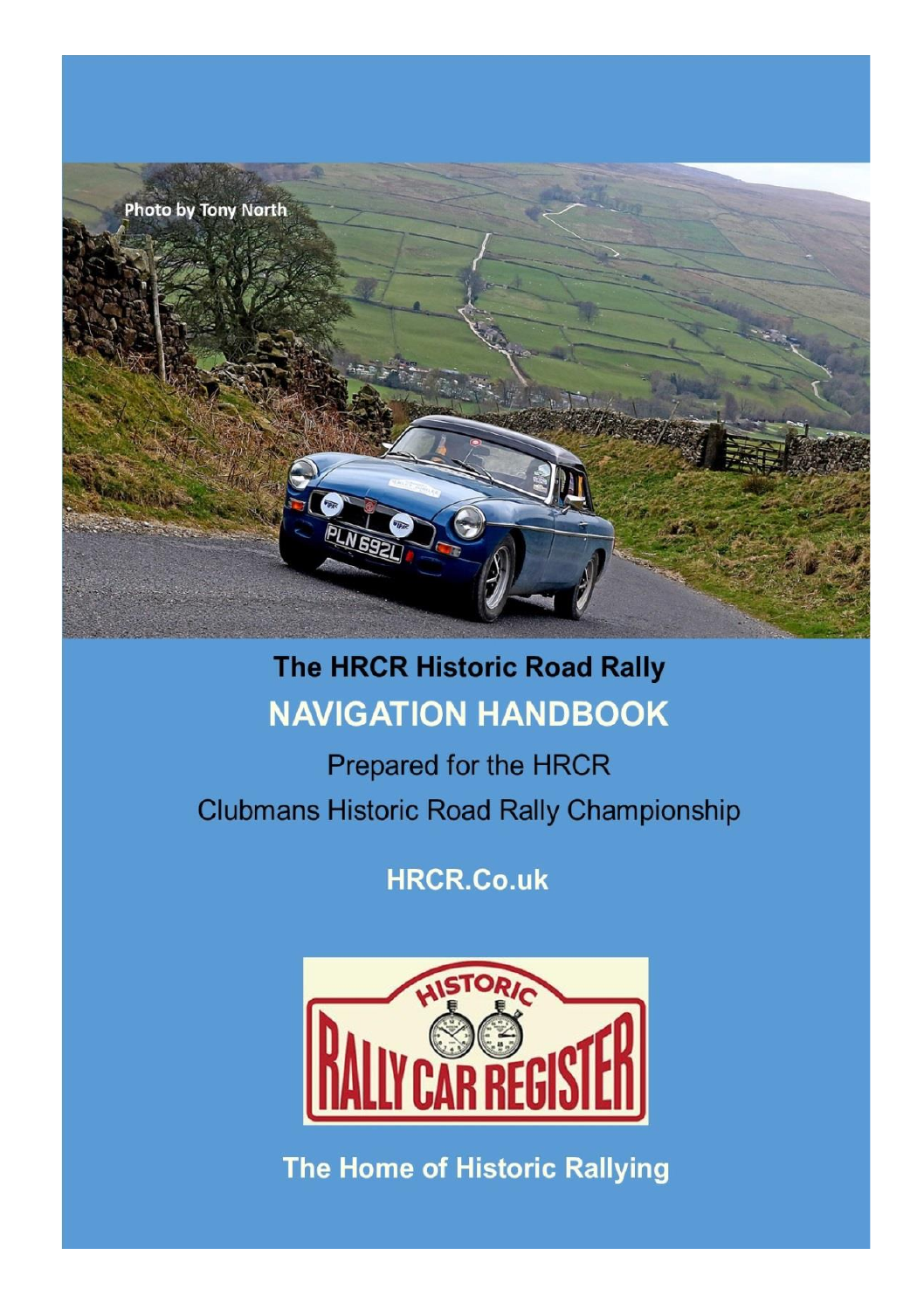

### **The HRCR Historic Road Rally NAVIGATION HANDBOOK**

Prepared for the HRCR **Clubmans Historic Road Rally Championship** 

**HRCR.Co.uk** 



The Home of Historic Rallying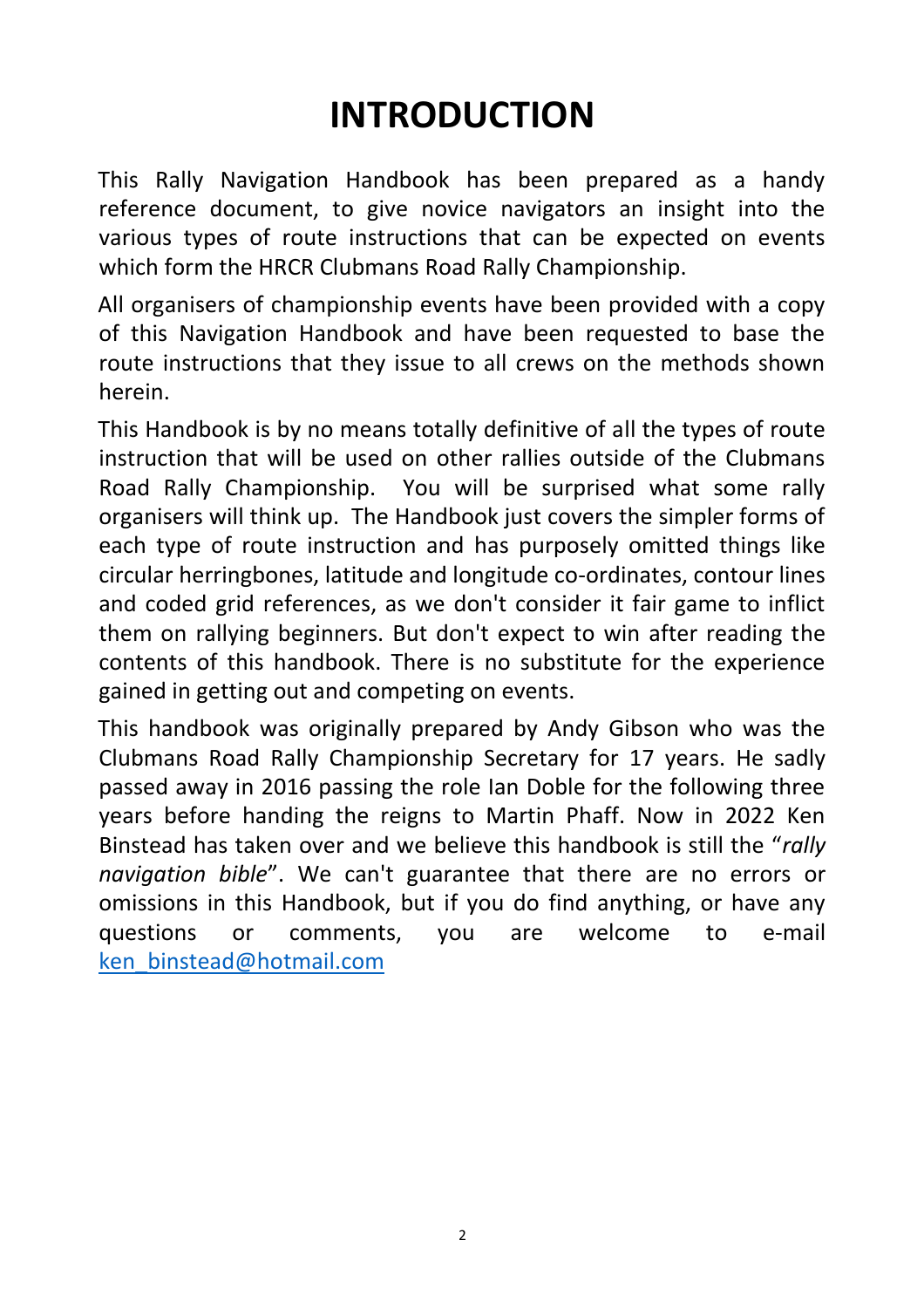# **INTRODUCTION**

This Rally Navigation Handbook has been prepared as a handy reference document, to give novice navigators an insight into the various types of route instructions that can be expected on events which form the HRCR Clubmans Road Rally Championship.

All organisers of championship events have been provided with a copy of this Navigation Handbook and have been requested to base the route instructions that they issue to all crews on the methods shown herein.

This Handbook is by no means totally definitive of all the types of route instruction that will be used on other rallies outside of the Clubmans Road Rally Championship. You will be surprised what some rally organisers will think up. The Handbook just covers the simpler forms of each type of route instruction and has purposely omitted things like circular herringbones, latitude and longitude co-ordinates, contour lines and coded grid references, as we don't consider it fair game to inflict them on rallying beginners. But don't expect to win after reading the contents of this handbook. There is no substitute for the experience gained in getting out and competing on events.

This handbook was originally prepared by Andy Gibson who was the Clubmans Road Rally Championship Secretary for 17 years. He sadly passed away in 2016 passing the role Ian Doble for the following three years before handing the reigns to Martin Phaff. Now in 2022 Ken Binstead has taken over and we believe this handbook is still the "*rally navigation bible*". We can't guarantee that there are no errors or omissions in this Handbook, but if you do find anything, or have any questions or comments, you are welcome to e-mail [ken\\_binstead@hotmail.com](mailto:ken_binstead@hotmail.com)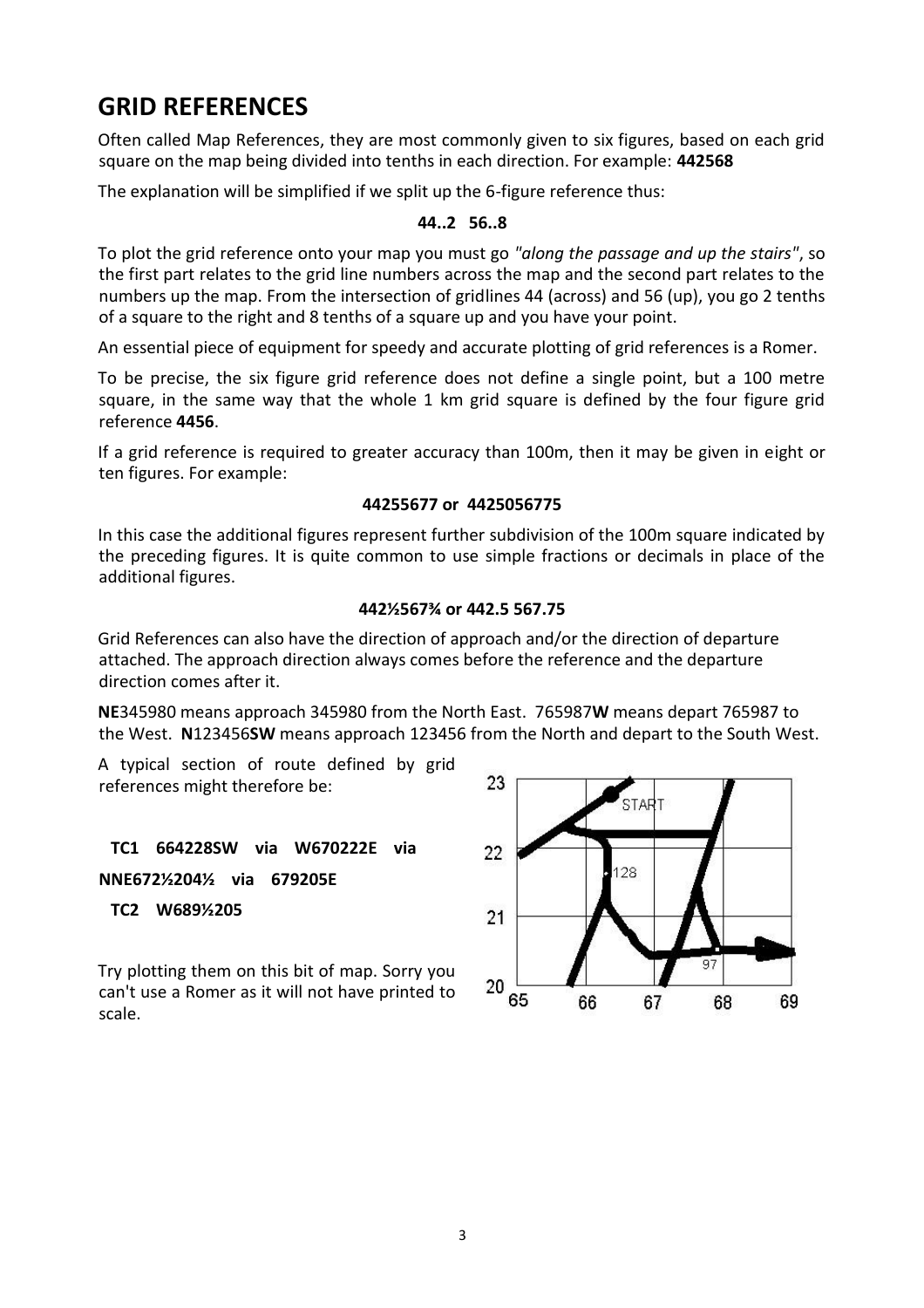# **GRID REFERENCES**

Often called Map References, they are most commonly given to six figures, based on each grid square on the map being divided into tenths in each direction. For example: **442568**

The explanation will be simplified if we split up the 6-figure reference thus:

### **44..2 56..8**

To plot the grid reference onto your map you must go *"along the passage and up the stairs"*, so the first part relates to the grid line numbers across the map and the second part relates to the numbers up the map. From the intersection of gridlines 44 (across) and 56 (up), you go 2 tenths of a square to the right and 8 tenths of a square up and you have your point.

An essential piece of equipment for speedy and accurate plotting of grid references is a Romer.

To be precise, the six figure grid reference does not define a single point, but a 100 metre square, in the same way that the whole 1 km grid square is defined by the four figure grid reference **4456**.

If a grid reference is required to greater accuracy than 100m, then it may be given in eight or ten figures. For example:

### **44255677 or 4425056775**

In this case the additional figures represent further subdivision of the 100m square indicated by the preceding figures. It is quite common to use simple fractions or decimals in place of the additional figures.

### **442½567¾ or 442.5 567.75**

Grid References can also have the direction of approach and/or the direction of departure attached. The approach direction always comes before the reference and the departure direction comes after it.

**NE**345980 means approach 345980 from the North East. 765987**W** means depart 765987 to the West. **N**123456**SW** means approach 123456 from the North and depart to the South West.

A typical section of route defined by grid references might therefore be:

 **TC1 664228SW via W670222E via NNE672½204½ via 679205E**

 **TC2 W689½205**

Try plotting them on this bit of map. Sorry you can't use a Romer as it will not have printed to scale.

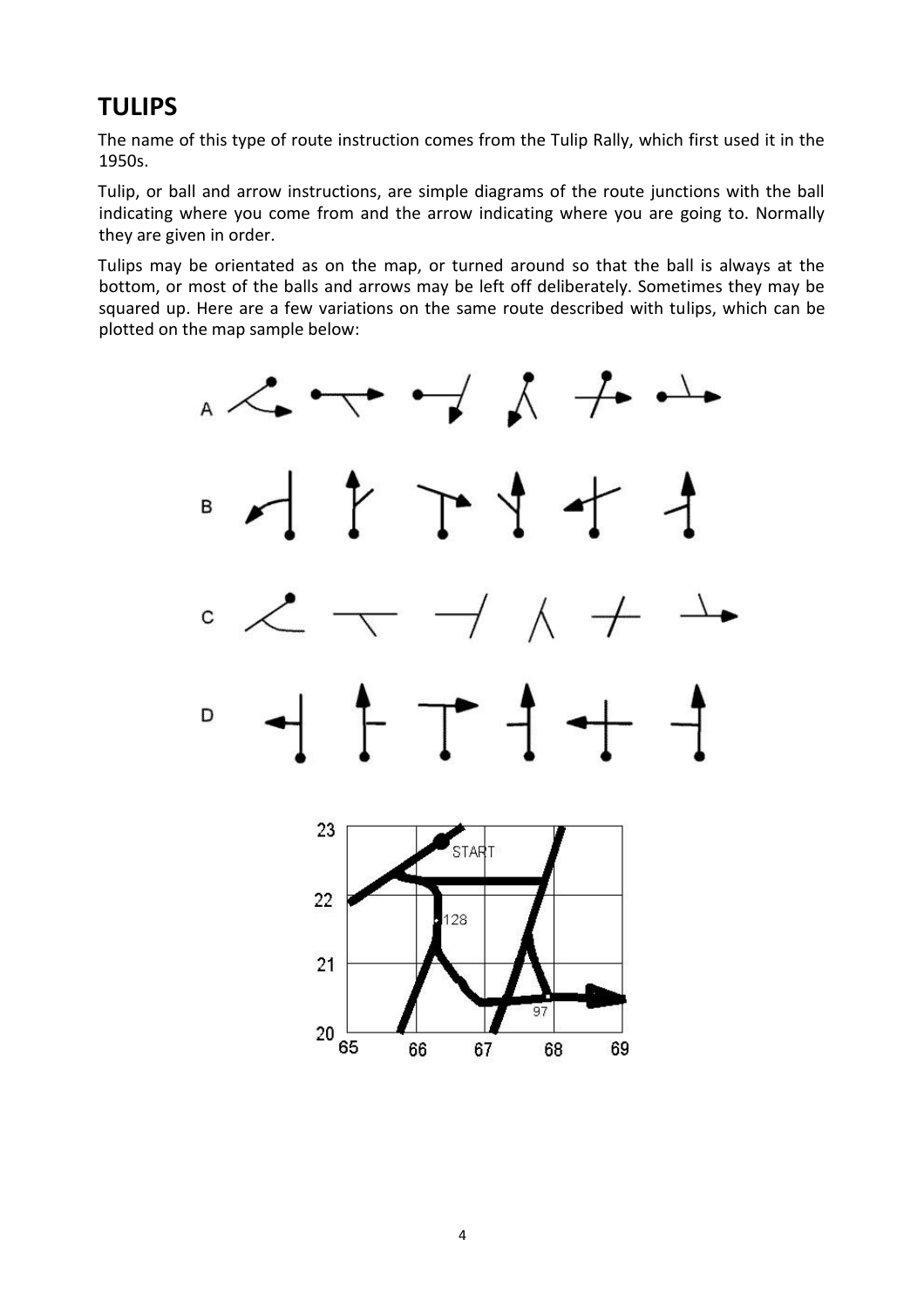# **TULIPS**

The name of this type of route instruction comes from the Tulip Rally, which first used it in the 1950s.

Tulip, or ball and arrow instructions, are simple diagrams of the route junctions with the ball indicating where you come from and the arrow indicating where you are going to. Normally they are given in order.

Tulips may be orientated as on the map, or turned around so that the ball is always at the bottom, or most of the balls and arrows may be left off deliberately. Sometimes they may be squared up. Here are a few variations on the same route described with tulips, which can be plotted on the map sample below:

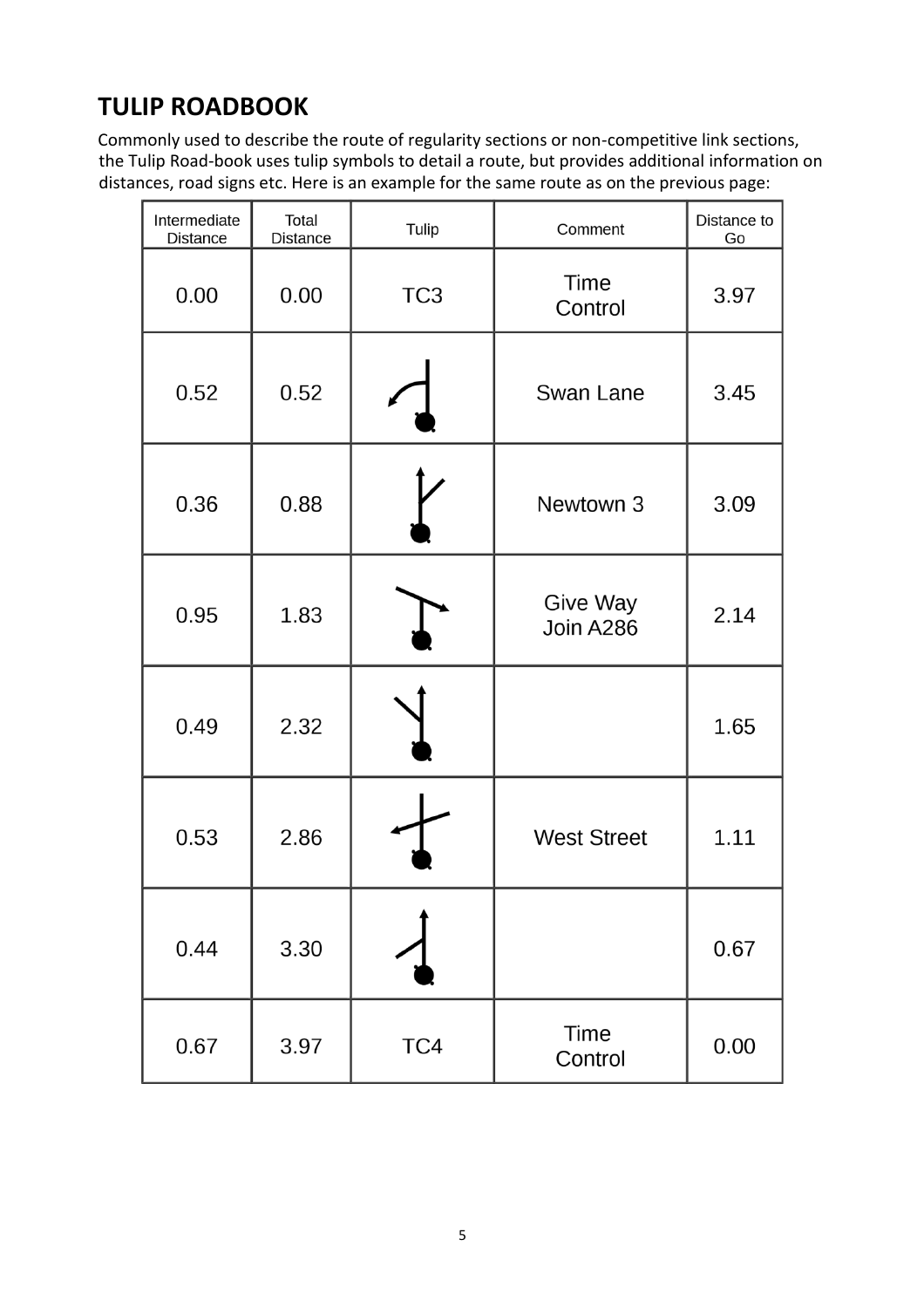# **TULIP ROADBOOK**

Commonly used to describe the route of regularity sections or non-competitive link sections, the Tulip Road-book uses tulip symbols to detail a route, but provides additional information on distances, road signs etc. Here is an example for the same route as on the previous page:

| Intermediate<br>Distance | Total<br><b>Distance</b> | Tulip           | Comment                | Distance to<br>Go |
|--------------------------|--------------------------|-----------------|------------------------|-------------------|
| 0.00                     | 0.00                     | TC <sub>3</sub> | Time<br>Control        | 3.97              |
| 0.52                     | 0.52                     |                 | Swan Lane              | 3.45              |
| 0.36                     | 0.88                     |                 | Newtown 3              | 3.09              |
| 0.95                     | 1.83                     |                 | Give Way<br>Join A286  | 2.14              |
| 0.49                     | 2.32                     |                 |                        | 1.65              |
| 0.53                     | 2.86                     |                 | <b>West Street</b>     | 1.11              |
| 0.44                     | 3.30                     |                 |                        | 0.67              |
| 0.67                     | 3.97                     | TC4             | <b>Time</b><br>Control | 0.00              |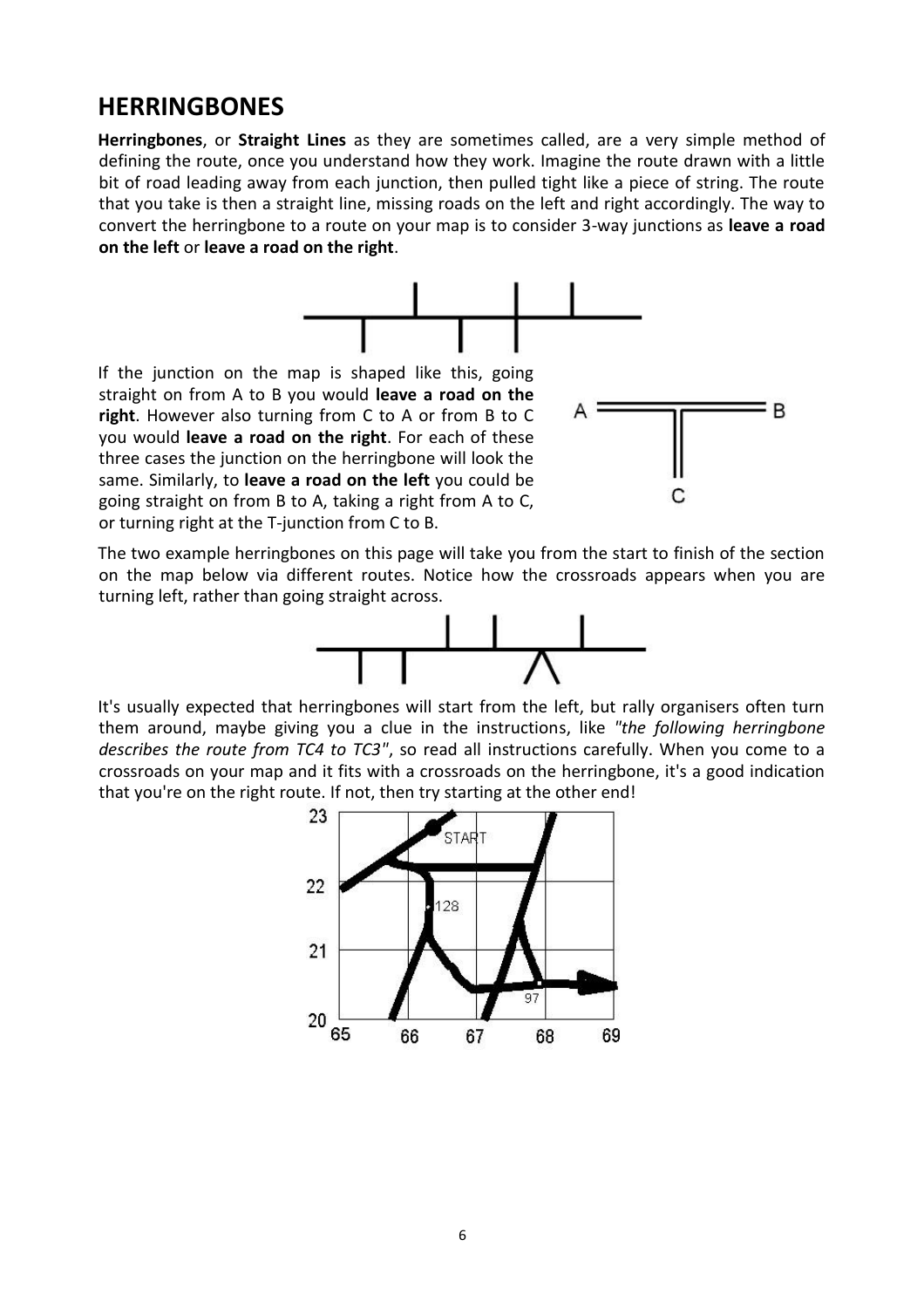### **HERRINGBONES**

**Herringbones**, or **Straight Lines** as they are sometimes called, are a very simple method of defining the route, once you understand how they work. Imagine the route drawn with a little bit of road leading away from each junction, then pulled tight like a piece of string. The route that you take is then a straight line, missing roads on the left and right accordingly. The way to convert the herringbone to a route on your map is to consider 3-way junctions as **leave a road on the left** or **leave a road on the right**.



If the junction on the map is shaped like this, going straight on from A to B you would **leave a road on the right**. However also turning from C to A or from B to C you would **leave a road on the right**. For each of these three cases the junction on the herringbone will look the same. Similarly, to **leave a road on the left** you could be going straight on from B to A, taking a right from A to C, or turning right at the T-junction from C to B.



The two example herringbones on this page will take you from the start to finish of the section on the map below via different routes. Notice how the crossroads appears when you are turning left, rather than going straight across.



It's usually expected that herringbones will start from the left, but rally organisers often turn them around, maybe giving you a clue in the instructions, like *"the following herringbone describes the route from TC4 to TC3"*, so read all instructions carefully. When you come to a crossroads on your map and it fits with a crossroads on the herringbone, it's a good indication that you're on the right route. If not, then try starting at the other end!

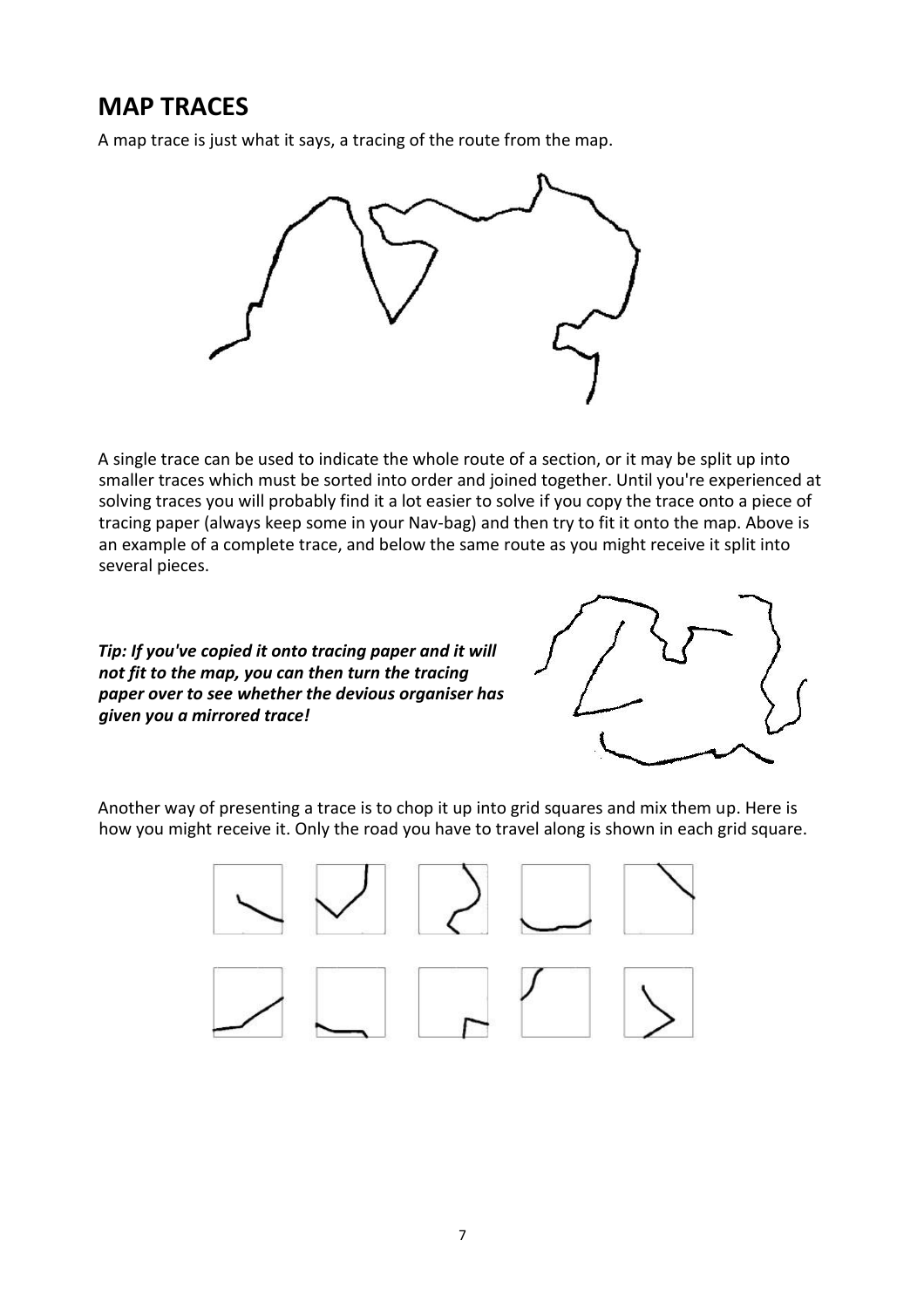### **MAP TRACES**

A map trace is just what it says, a tracing of the route from the map.



A single trace can be used to indicate the whole route of a section, or it may be split up into smaller traces which must be sorted into order and joined together. Until you're experienced at solving traces you will probably find it a lot easier to solve if you copy the trace onto a piece of tracing paper (always keep some in your Nav-bag) and then try to fit it onto the map. Above is an example of a complete trace, and below the same route as you might receive it split into several pieces.

*Tip: If you've copied it onto tracing paper and it will not fit to the map, you can then turn the tracing paper over to see whether the devious organiser has given you a mirrored trace!* 



Another way of presenting a trace is to chop it up into grid squares and mix them up. Here is how you might receive it. Only the road you have to travel along is shown in each grid square.

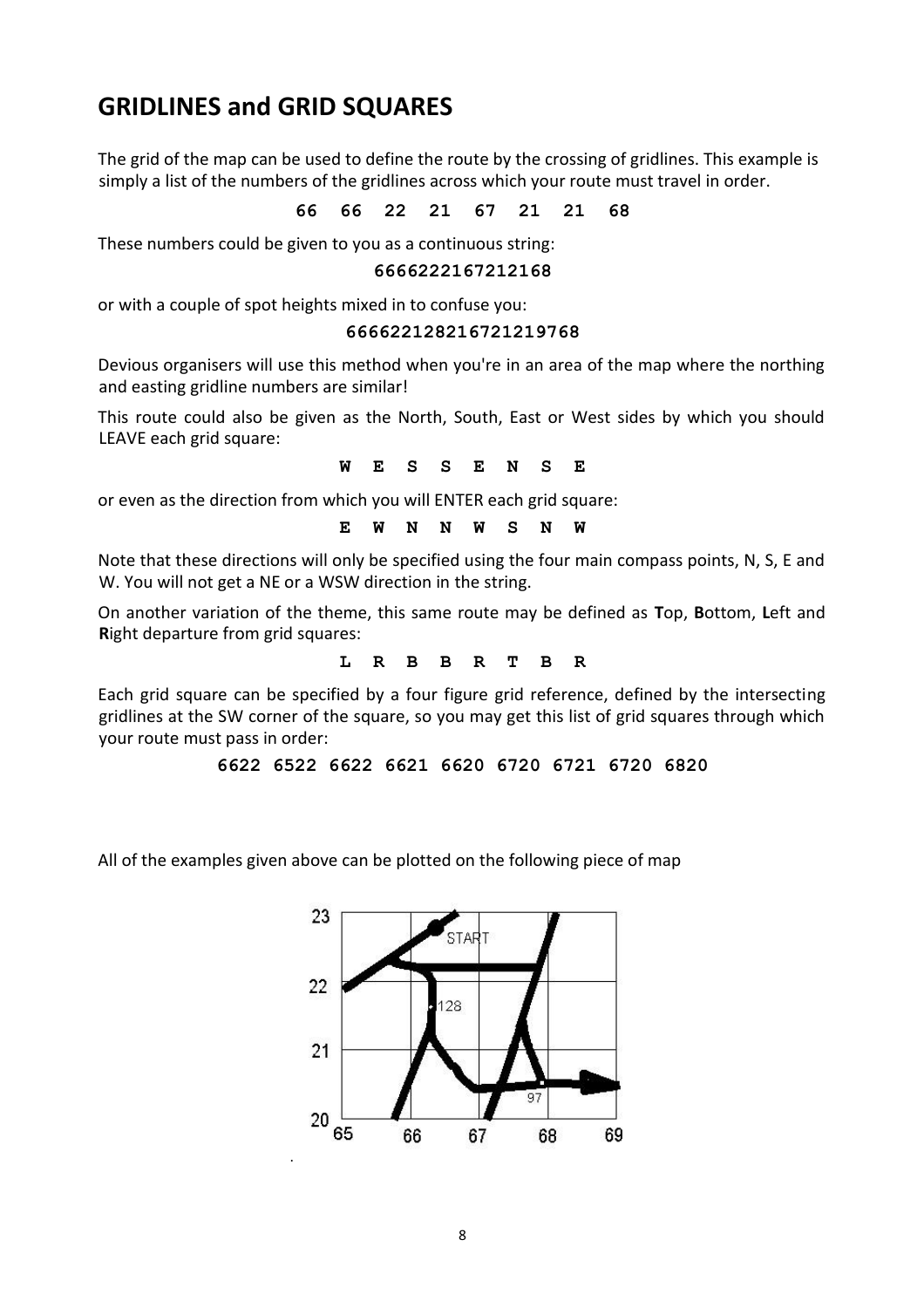## **GRIDLINES and GRID SQUARES**

The grid of the map can be used to define the route by the crossing of gridlines. This example is simply a list of the numbers of the gridlines across which your route must travel in order.

**66 66 22 21 67 21 21 68**

These numbers could be given to you as a continuous string:

#### **6666222167212168**

or with a couple of spot heights mixed in to confuse you:

#### **666622128216721219768**

Devious organisers will use this method when you're in an area of the map where the northing and easting gridline numbers are similar!

This route could also be given as the North, South, East or West sides by which you should LEAVE each grid square:

**W E S S E N S E**

or even as the direction from which you will ENTER each grid square:

### **E W N N W S N W**

Note that these directions will only be specified using the four main compass points, N, S, E and W. You will not get a NE or a WSW direction in the string.

On another variation of the theme, this same route may be defined as **T**op, **B**ottom, **L**eft and **R**ight departure from grid squares:

**L R B B R T B R**

Each grid square can be specified by a four figure grid reference, defined by the intersecting gridlines at the SW corner of the square, so you may get this list of grid squares through which your route must pass in order:

```
6622 6522 6622 6621 6620 6720 6721 6720 6820
```
All of the examples given above can be plotted on the following piece of map

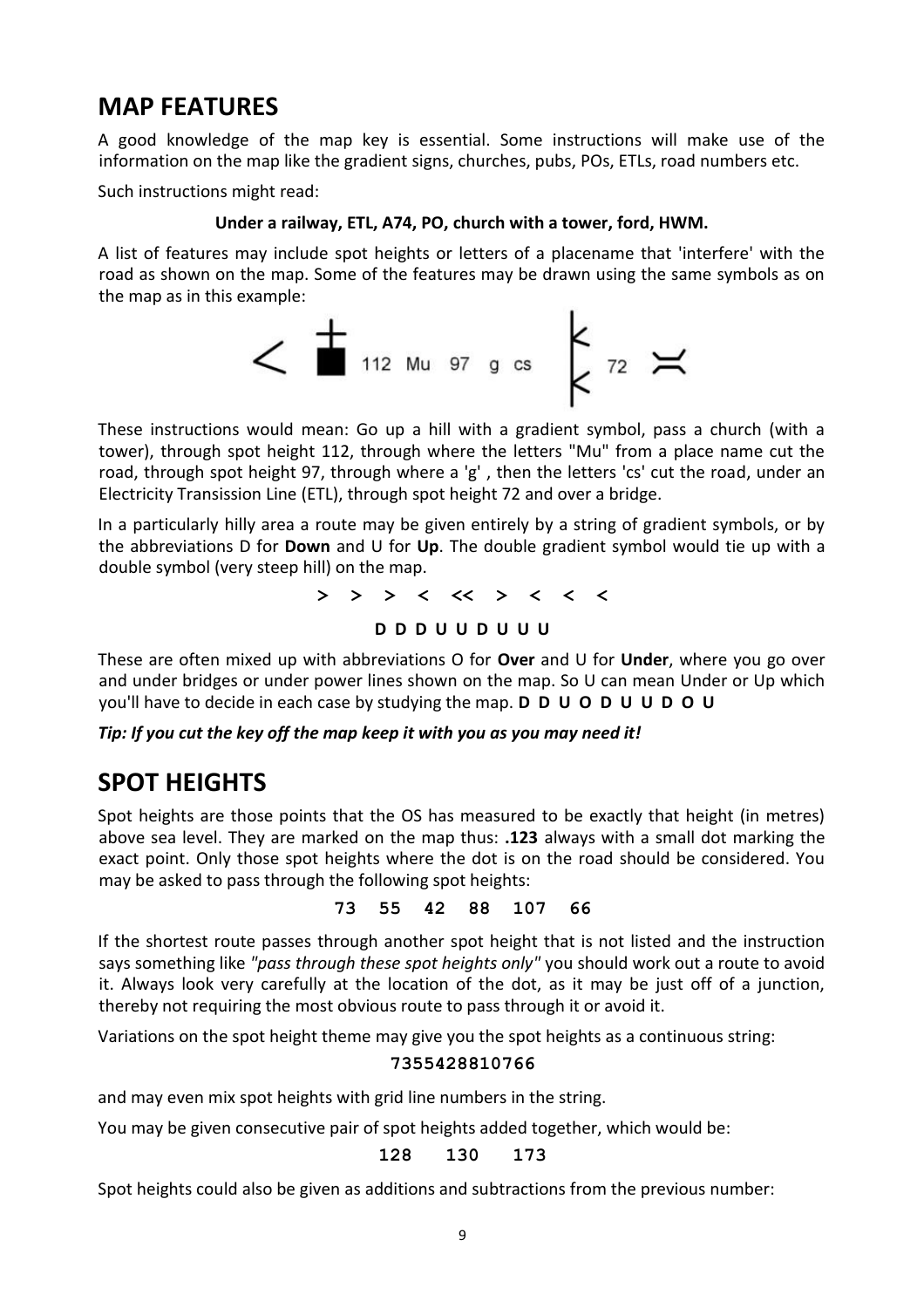### **MAP FEATURES**

A good knowledge of the map key is essential. Some instructions will make use of the information on the map like the gradient signs, churches, pubs, POs, ETLs, road numbers etc.

Such instructions might read:

### **Under a railway, ETL, A74, PO, church with a tower, ford, HWM.**

A list of features may include spot heights or letters of a placename that 'interfere' with the road as shown on the map. Some of the features may be drawn using the same symbols as on the map as in this example:



These instructions would mean: Go up a hill with a gradient symbol, pass a church (with a tower), through spot height 112, through where the letters "Mu" from a place name cut the road, through spot height 97, through where a 'g' , then the letters 'cs' cut the road, under an Electricity Transission Line (ETL), through spot height 72 and over a bridge.

In a particularly hilly area a route may be given entirely by a string of gradient symbols, or by the abbreviations D for **Down** and U for **Up**. The double gradient symbol would tie up with a double symbol (very steep hill) on the map.

**> > > < << > < < <**

### **D D D U U D U U U**

These are often mixed up with abbreviations O for **Over** and U for **Under**, where you go over and under bridges or under power lines shown on the map. So U can mean Under or Up which you'll have to decide in each case by studying the map. **D D U O D U U D O U**

*Tip: If you cut the key off the map keep it with you as you may need it!* 

### **SPOT HEIGHTS**

Spot heights are those points that the OS has measured to be exactly that height (in metres) above sea level. They are marked on the map thus: **.123** always with a small dot marking the exact point. Only those spot heights where the dot is on the road should be considered. You may be asked to pass through the following spot heights:

#### **73 55 42 88 107 66**

If the shortest route passes through another spot height that is not listed and the instruction says something like *"pass through these spot heights only"* you should work out a route to avoid it. Always look very carefully at the location of the dot, as it may be just off of a junction, thereby not requiring the most obvious route to pass through it or avoid it.

Variations on the spot height theme may give you the spot heights as a continuous string:

### **7355428810766**

and may even mix spot heights with grid line numbers in the string.

You may be given consecutive pair of spot heights added together, which would be:

### **128 130 173**

Spot heights could also be given as additions and subtractions from the previous number: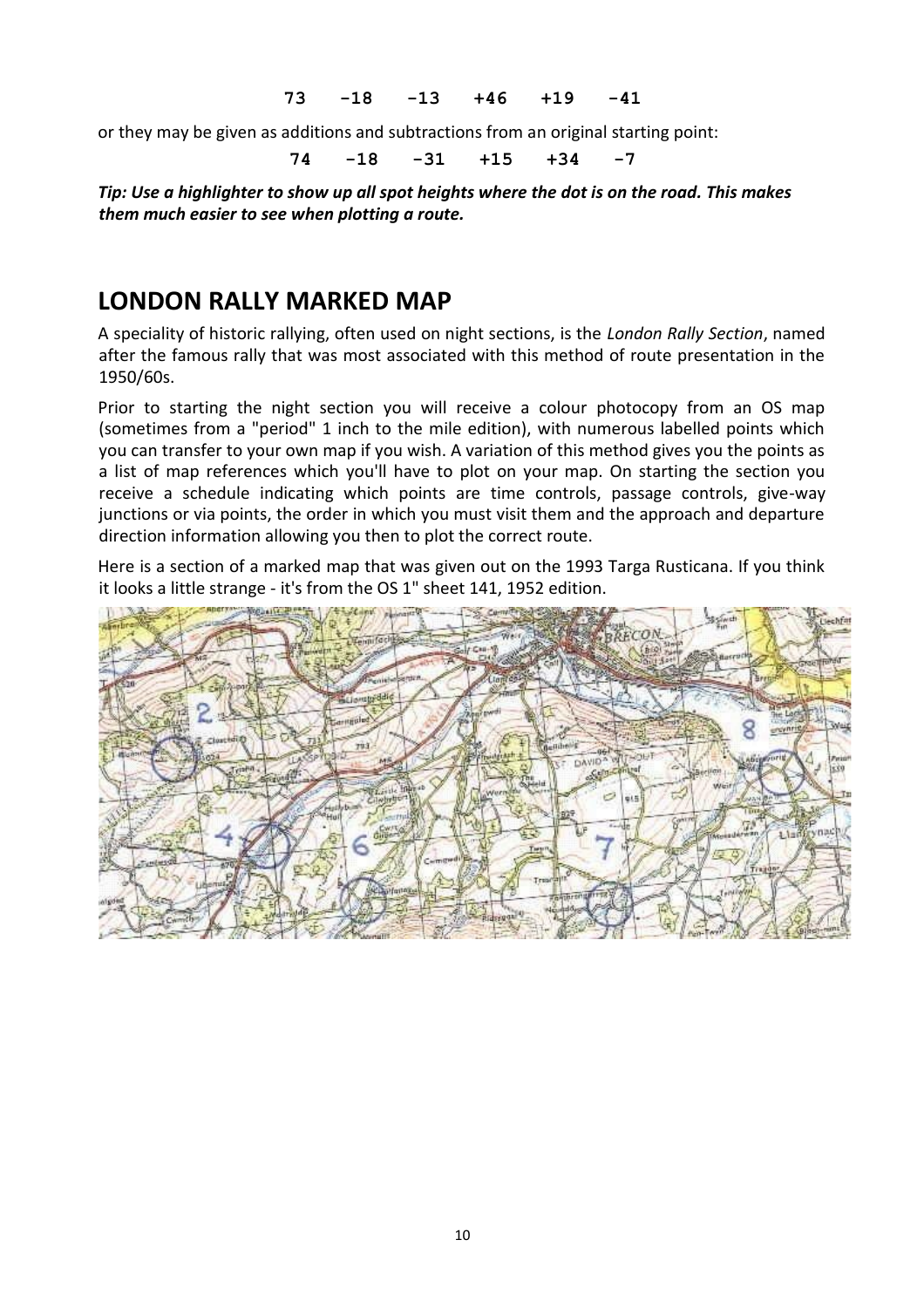#### **73 -18 -13 +46 +19 -41**

or they may be given as additions and subtractions from an original starting point:

**74 -18 -31 +15 +34 -7**

*Tip: Use a highlighter to show up all spot heights where the dot is on the road. This makes them much easier to see when plotting a route.*

### **LONDON RALLY MARKED MAP**

A speciality of historic rallying, often used on night sections, is the *London Rally Section*, named after the famous rally that was most associated with this method of route presentation in the 1950/60s.

Prior to starting the night section you will receive a colour photocopy from an OS map (sometimes from a "period" 1 inch to the mile edition), with numerous labelled points which you can transfer to your own map if you wish. A variation of this method gives you the points as a list of map references which you'll have to plot on your map. On starting the section you receive a schedule indicating which points are time controls, passage controls, give-way junctions or via points, the order in which you must visit them and the approach and departure direction information allowing you then to plot the correct route.

Here is a section of a marked map that was given out on the 1993 Targa Rusticana. If you think it looks a little strange - it's from the OS 1" sheet 141, 1952 edition.

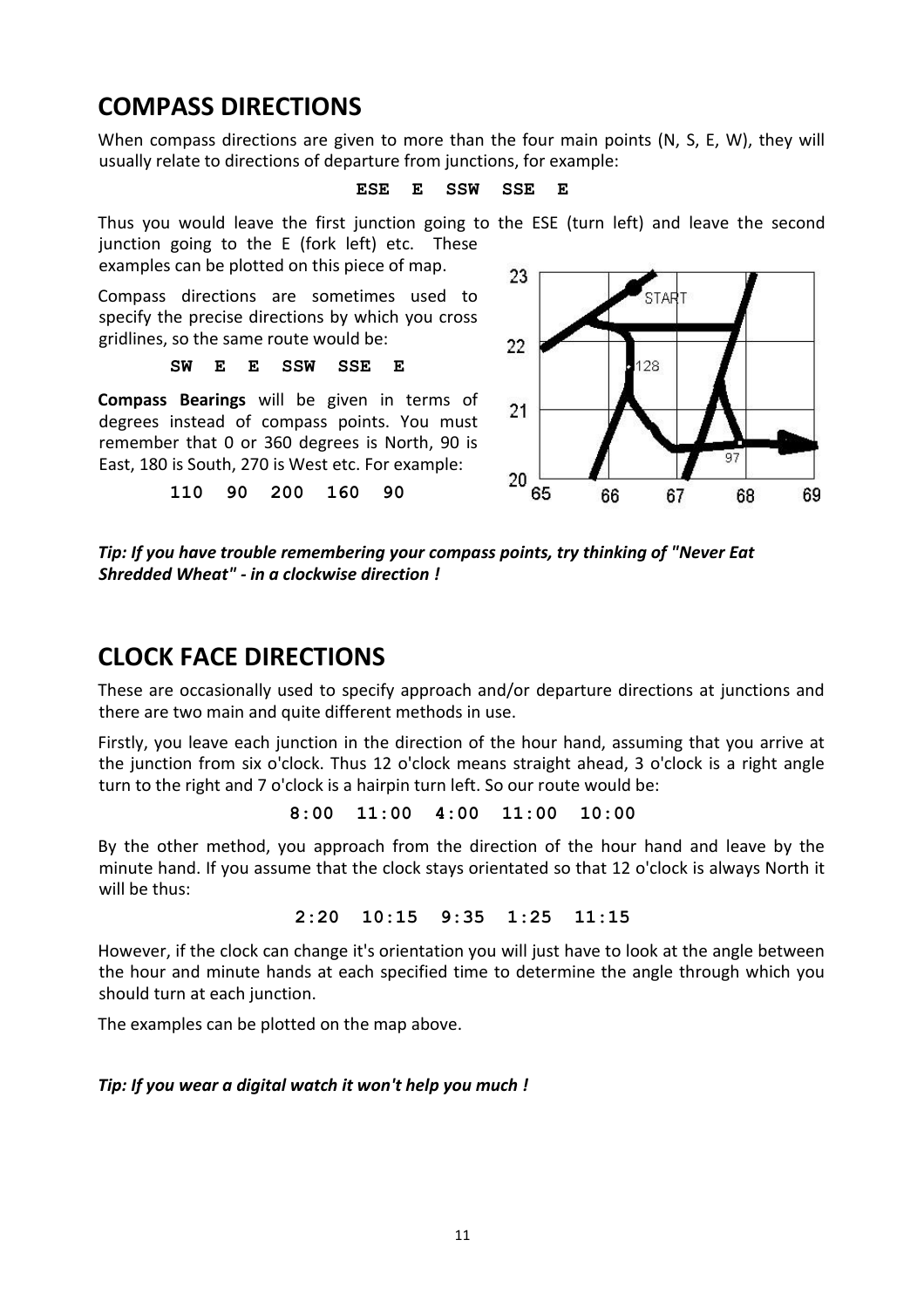# **COMPASS DIRECTIONS**

When compass directions are given to more than the four main points (N, S, E, W), they will usually relate to directions of departure from junctions, for example:

#### **ESE E SSW SSE E**

Thus you would leave the first junction going to the ESE (turn left) and leave the second junction going to the E (fork left) etc. These

examples can be plotted on this piece of map.

Compass directions are sometimes used to specify the precise directions by which you cross gridlines, so the same route would be:

#### **SW E E SSW SSE E**

**Compass Bearings** will be given in terms of degrees instead of compass points. You must remember that 0 or 360 degrees is North, 90 is East, 180 is South, 270 is West etc. For example:

**110 90 200 160 90**



*Tip: If you have trouble remembering your compass points, try thinking of "Never Eat Shredded Wheat" - in a clockwise direction !*

### **CLOCK FACE DIRECTIONS**

These are occasionally used to specify approach and/or departure directions at junctions and there are two main and quite different methods in use.

Firstly, you leave each junction in the direction of the hour hand, assuming that you arrive at the junction from six o'clock. Thus 12 o'clock means straight ahead, 3 o'clock is a right angle turn to the right and 7 o'clock is a hairpin turn left. So our route would be:

**8:00 11:00 4:00 11:00 10:00**

By the other method, you approach from the direction of the hour hand and leave by the minute hand. If you assume that the clock stays orientated so that 12 o'clock is always North it will be thus:

**2:20 10:15 9:35 1:25 11:15**

However, if the clock can change it's orientation you will just have to look at the angle between the hour and minute hands at each specified time to determine the angle through which you should turn at each junction.

The examples can be plotted on the map above.

### *Tip: If you wear a digital watch it won't help you much !*